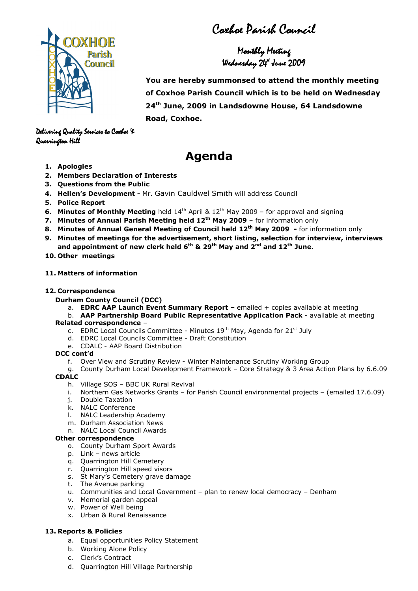Coxhoe Parish Council

Monthly Meeting Wednesday Wednesday 24th June2009

 You are hereby summonsed to attend the monthly meeting of Coxhoe Parish Council which is to be held on Wednesday 24<sup>th</sup> June, 2009 in Landsdowne House, 64 Landsdowne Road, Coxhoe.

Delivering Quality Services to Coxhoe X Quarrington Hill Quarrington Hill

# Agenda

- 1. Apologies
- 2. Members Declaration of Interests
- 3. Questions from the Public
- 4. Hellen's Development Mr. Gavin Cauldwel Smith will address Council
- 5. Police Report
- 6. Minutes of Monthly Meeting held  $14<sup>th</sup>$  April &  $12<sup>th</sup>$  May 2009 for approval and signing
- 7. Minutes of Annual Parish Meeting held  $12<sup>th</sup>$  May 2009 for information only
- 8. Minutes of Annual General Meeting of Council held 12<sup>th</sup> May 2009 for information only
- 9. Minutes of meetings for the advertisement, short listing, selection for interview, interviews and appointment of new clerk held  $6^{th}$  & 29<sup>th</sup> May and  $2^{nd}$  and  $12^{th}$  June.
- 10. Other meetings

## 11. Matters of information

#### 12. Correspondence

- Durham County Council (DCC)
	- a. EDRC AAP Launch Event Summary Report emailed + copies available at meeting
- b. AAP Partnership Board Public Representative Application Pack available at meeting Related correspondence –
	- c. EDRC Local Councils Committee Minutes 19<sup>th</sup> May, Agenda for 21<sup>st</sup> July
	- d. EDRC Local Councils Committee Draft Constitution
	- e. CDALC AAP Board Distribution

## DCC cont'd

- f. Over View and Scrutiny Review Winter Maintenance Scrutiny Working Group
- g. County Durham Local Development Framework Core Strategy & 3 Area Action Plans by 6.6.09 CDALC
	- h. Village SOS BBC UK Rural Revival
	- i. Northern Gas Networks Grants for Parish Council environmental projects (emailed 17.6.09)
	- j. Double Taxation
	- k. NALC Conference
	- l. NALC Leadership Academy
	- m. Durham Association News
	- n. NALC Local Council Awards

## Other correspondence

- o. County Durham Sport Awards
- p. Link news article
- q. Quarrington Hill Cemetery
- r. Quarrington Hill speed visors
- s. St Mary's Cemetery grave damage
- t. The Avenue parking
- u. Communities and Local Government plan to renew local democracy Denham
- v. Memorial garden appeal
- w. Power of Well being
- x. Urban & Rural Renaissance

## 13. Reports & Policies

- a. Equal opportunities Policy Statement
- b. Working Alone Policy
- c. Clerk's Contract
- d. Quarrington Hill Village Partnership